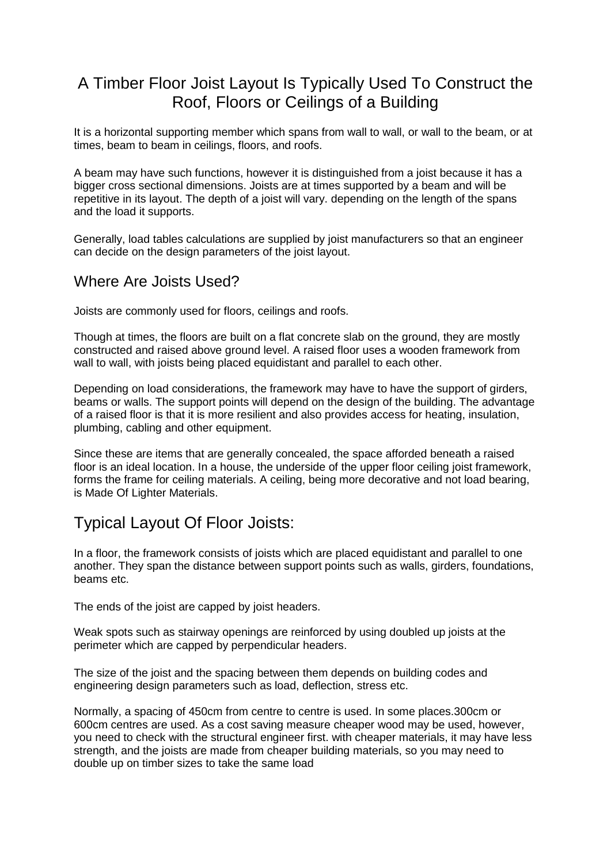## A Timber Floor Joist Layout Is Typically Used To Construct the Roof, Floors or Ceilings of a Building

It is a horizontal supporting member which spans from wall to wall, or wall to the beam, or at times, beam to beam in ceilings, floors, and roofs.

A beam may have such functions, however it is distinguished from a joist because it has a bigger cross sectional dimensions. Joists are at times supported by a beam and will be repetitive in its layout. The depth of a joist will vary. depending on the length of the spans and the load it supports.

Generally, load tables calculations are supplied by joist manufacturers so that an engineer can decide on the design parameters of the joist layout.

## Where Are Joists Used?

Joists are commonly used for floors, ceilings and roofs.

Though at times, the floors are built on a flat concrete slab on the ground, they are mostly constructed and raised above ground level. A raised floor uses a wooden framework from wall to wall, with joists being placed equidistant and parallel to each other.

Depending on load considerations, the framework may have to have the support of girders, beams or walls. The support points will depend on the design of the building. The advantage of a raised floor is that it is more resilient and also provides access for heating, insulation, plumbing, cabling and other equipment.

Since these are items that are generally concealed, the space afforded beneath a raised floor is an ideal location. In a house, the underside of the upper floor ceiling joist framework, forms the frame for ceiling materials. A ceiling, being more decorative and not load bearing, is Made Of Lighter Materials.

## Typical Layout Of Floor Joists:

In a floor, the framework consists of joists which are placed equidistant and parallel to one another. They span the distance between support points such as walls, girders, foundations, beams etc.

The ends of the joist are capped by joist headers.

Weak spots such as stairway openings are reinforced by using doubled up joists at the perimeter which are capped by perpendicular headers.

The size of the joist and the spacing between them depends on building codes and engineering design parameters such as load, deflection, stress etc.

Normally, a spacing of 450cm from centre to centre is used. In some places.300cm or 600cm centres are used. As a cost saving measure cheaper wood may be used, however, you need to check with the structural engineer first. with cheaper materials, it may have less strength, and the joists are made from cheaper building materials, so you may need to double up on timber sizes to take the same load